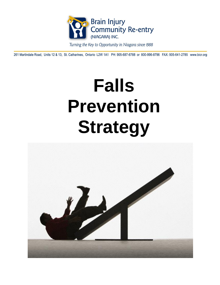

Turning the Key to Opportunity in Niagara since 1988

261 Martindale Road, Units 12 & 13, St. Catharines, Ontario L2W 1A1 PH: 905-687-6788 or 800-996-8796 FAX: 905-641-2785 www.bicr.org

# **Falls Prevention Strategy**

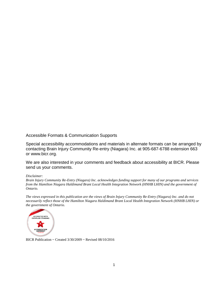Accessible Formats & Communication Supports

Special accessibility accommodations and materials in alternate formats can be arranged by contacting Brain Injury Community Re-entry (Niagara) Inc. at 905-687-6788 extension 663 or www.bicr.org.

We are also interested in your comments and feedback about accessibility at BICR. Please send us your comments.

#### *Disclaimer:*

*Brain Injury Community Re-Entry (Niagara) Inc. acknowledges funding support for many of our programs and services from the Hamilton Niagara Haldimand Brant Local Health Integration Network (HNHB LHIN) and the government of Ontario.* 

*The views expressed in this publication are the views of Brain Injury Community Re-Entry (Niagara) Inc. and do not necessarily reflect those of the Hamilton Niagara Haldimand Brant Local Health Integration Network (HNHB LHIN) or the government of Ontario.*



BICR Publication ~ Created 3/30/2009 ~ Revised 08/10/2016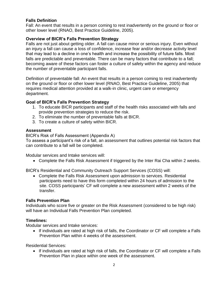#### **Falls Definition**

Fall: An event that results in a person coming to rest inadvertently on the ground or floor or other lower level (RNAO, Best Practice Guideline, 2005).

#### **Overview of BICR's Falls Prevention Strategy**

Falls are not just about getting older. A fall can cause minor or serious injury. Even without an injury a fall can cause a loss of confidence, increase fear and/or decrease activity level that may lead to a decline in one's health and increase the possibility of future falls. Most falls are predictable and preventable. There can be many factors that contribute to a fall; becoming aware of these factors can foster a culture of safety within the agency and reduce the number of preventable participant falls.

Definition of preventable fall: An event that results in a person coming to rest inadvertently on the ground or floor or other lower level (RNAO, Best Practice Guideline, 2005) that requires medical attention provided at a walk-in clinic, urgent care or emergency department.

#### **Goal of BICR's Falls Prevention Strategy**

- 1. To educate BICR participants and staff of the health risks associated with falls and provide prevention strategies to reduce the risk.
- 2. To eliminate the number of preventable falls at BICR.
- 3. To create a culture of safety within BICR.

#### **Assessment**

BICR's Risk of Falls Assessment (Appendix A)

To assess a participant's risk of a fall, an assessment that outlines potential risk factors that can contribute to a fall will be completed.

Modular services and Intake services will:

Complete the Falls Risk Assessment if triggered by the Inter Rai Cha within 2 weeks.

BICR's Residential and Community Outreach Support Services (COSS) will:

 Complete the Falls Risk Assessment upon admission to services. Residential participants need to have this form completed within 24 hours of admission to the site. COSS participants' CF will complete a new assessment within 2 weeks of the transfer.

#### **Falls Prevention Plan**

Individuals who score five or greater on the Risk Assessment (considered to be high risk) will have an Individual Falls Prevention Plan completed.

#### **Timelines:**

Modular services and Intake services:

 If individuals are rated at high risk of falls, the Coordinator or CF will complete a Falls Prevention Plan within 4 weeks of the assessment.

Residential Services:

 If individuals are rated at high risk of falls, the Coordinator or CF will complete a Falls Prevention Plan in place within one week of the assessment.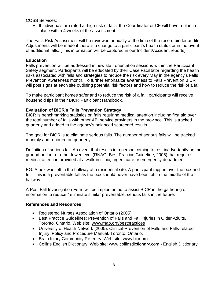COSS Services:

 If individuals are rated at high risk of falls, the Coordinator or CF will have a plan in place within 4 weeks of the assessment.

The Falls Risk Assessment will be reviewed annually at the time of the record binder audits. Adjustments will be made if there is a change to a participant's health status or in the event of additional falls. (This information will be captured in our Incident/Accident reports)

#### **Education**

Falls prevention will be addressed in new staff orientation sessions within the Participant Safety segment. Participants will be educated by their Case Facilitator regarding the health risks associated with falls and strategies to reduce the risk every May in the agency's Falls Prevention Awareness month. To further emphasize awareness to Falls Prevention BICR will post signs at each site outlining potential risk factors and how to reduce the risk of a fall.

To make participant homes safer and to reduce the risk of a fall, participants will receive household tips in their BICR Participant Handbook.

#### **Evaluation of BICR's Falls Prevention Strategy**

BICR is benchmarking statistics on falls requiring medical attention including first aid over the total number of falls with other ABI service providers in the province. This is tracked quarterly and added to the agency's balanced scorecard results.

The goal for BICR is to eliminate serious falls. The number of serious falls will be tracked monthly and reported on quarterly.

Definition of serious fall: An event that results in a person coming to rest inadvertently on the ground or floor or other lower level (RNAO, Best Practice Guideline, 2005) that requires medical attention provided at a walk-in clinic, urgent care or emergency department.

EG: A box was left in the hallway of a residential site. A participant tripped over the box and fell. This is a preventable fall as the box should never have been left in the middle of the hallway.

A Post Fall Investigation Form will be implemented to assist BICR in the gathering of information to reduce / eliminate similar preventable, serious falls in the future.

#### **References and Resources**

- Registered Nurses Association of Ontario (2005).
- Best Practice Guidelines: Prevention of Falls and Fall Injuries in Older Adults, Toronto, Ontario. Web site: [www.rnao.org/bestpractices](http://www.rnao.org/bestpractices)
- University of Health Network (2005). Clinical-Prevention of Falls and Falls-related Injury. Policy and Procedure Manual, Toronto, Ontario.
- Brain Injury Community Re-entry. Web site: www.bicr.org
- Collins [English Dictionary](https://www.google.ca/url?sa=t&rct=j&q=&esrc=s&source=web&cd=4&cad=rja&ved=0CEYQ6QUoADAD&url=http%3A%2F%2Fwww.collinsdictionary.com%2Fdictionary%2Fenglish&ei=W5dNUpXMJ8KEygHz04DwDA&usg=AFQjCNETH8_4gD04NmiydYZA6Q7NxFU9QA&bvm=bv.53537100,d.aWc). Web site: www.collinsdictionary.com > English Dictionary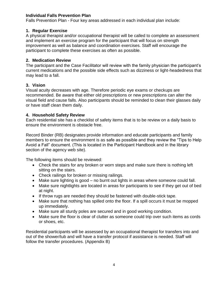#### **Individual Falls Prevention Plan**

Falls Prevention Plan - Four key areas addressed in each individual plan include:

#### **1. Regular Exercise**

A physical therapist and/or occupational therapist will be called to complete an assessment and implement an exercise program for the participant that will focus on strength improvement as well as balance and coordination exercises. Staff will encourage the participant to complete these exercises as often as possible.

#### **2. Medication Review**

The participant and the Case Facilitator will review with the family physician the participant's current medications and the possible side effects such as dizziness or light-headedness that may lead to a fall.

#### **3. Vision**

Visual acuity decreases with age. Therefore periodic eye exams or checkups are recommended. Be aware that either old prescriptions or new prescriptions can alter the visual field and cause falls. Also participants should be reminded to clean their glasses daily or have staff clean them daily.

#### **4. Household Safety Review**

Each residential site has a checklist of safety items that is to be review on a daily basis to ensure the environment is obstacle free.

Record Binder (RB) designates provide information and educate participants and family members to ensure the environment is as safe as possible and they review the "Tips to Help Avoid a Fall" document. (This is located in the Participant Handbook and in the library section of the agency web site).

The following items should be reviewed:

- Check the stairs for any broken or worn steps and make sure there is nothing left sitting on the stairs.
- Check railings for broken or missing railings.
- Make sure lighting is good no burnt out lights in areas where someone could fall.
- Make sure nightlights are located in areas for participants to see if they get out of bed at night.
- If throw rugs are needed they should be fastened with double-stick tape.
- Make sure that nothing has spilled onto the floor. If a spill occurs it must be mopped up immediately.
- Make sure all sturdy poles are secured and in good working condition.
- Make sure the floor is clear of clutter as someone could trip over such items as cords or shoes, etc.

Residential participants will be assessed by an occupational therapist for transfers into and out of the shower/tub and will have a transfer protocol if assistance is needed. Staff will follow the transfer procedures. (Appendix B)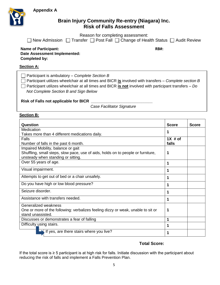**Appendix A**



## **Brain Injury Community Re-entry (Niagara) Inc. Risk of Falls Assessment**

Reason for completing assessment:

|  |  | $\Box$ New Admission $\Box$ Transfer $\Box$ Post Fall $\Box$ Change of Health Status $\Box$ Audit Review |
|--|--|----------------------------------------------------------------------------------------------------------|

#### **Name of Participant: RB#: Date Assessment Implemented: Completed by:**

#### **Section A:**

| $\Box$ Participant is ambulatory – Complete Section B                                                        |
|--------------------------------------------------------------------------------------------------------------|
| $\Box$ Participant utilizes wheelchair at all times and BICR is involved with transfers – Complete section B |
| $\Box$ Participant utilizes wheelchair at all times and BICR is not involved with participant transfers – Do |
| Not Complete Section B and Sign Below                                                                        |
|                                                                                                              |

#### **Risk of Falls not applicable for BICR** *\_\_\_\_\_\_\_\_\_\_\_\_\_\_\_\_\_\_\_\_\_\_\_\_\_\_\_\_*

*Case Facilitator Signature*

**Section B:**

| Question                                                                         | <b>Score</b> | <b>Score</b> |
|----------------------------------------------------------------------------------|--------------|--------------|
| Medication                                                                       | 1            |              |
| Takes more than 4 different medications daily.                                   |              |              |
| Falls                                                                            | $1X \# of$   |              |
| Number of falls in the past 6 month.                                             | falls        |              |
| Impaired Mobility, balance or gait                                               |              |              |
| Shuffling, small steps, slow pace, use of aids, holds on to people or furniture, | 1            |              |
| unsteady when standing or sitting.                                               |              |              |
| Over 55 years of age.                                                            | 1            |              |
| Visual impairment.                                                               | 1            |              |
| Attempts to get out of bed or a chair unsafely.                                  | 1            |              |
| Do you have high or low blood pressure?                                          | 1            |              |
| Seizure disorder.                                                                | 1            |              |
| Assistance with transfers needed.                                                | 1            |              |
| Generalized weakness                                                             |              |              |
| One or more of the following: verbalizes feeling dizzy or weak, unable to sit or | 1            |              |
| stand unassisted.                                                                |              |              |
| Discusses or demonstrates a fear of falling                                      | 1            |              |
| Difficulty_using stairs.                                                         | 1            |              |
| If yes, are there stairs where you live?                                         | 1            |              |

#### **Total Score:**

If the total score is ≥ 5 participant is at high risk for falls. Initiate discussion with the participant about reducing the risk of falls and implement a Falls Prevention Plan.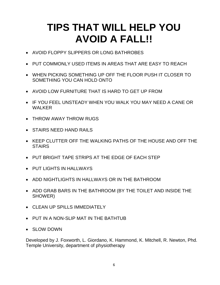# **TIPS THAT WILL HELP YOU AVOID A FALL!!**

- AVOID FLOPPY SLIPPERS OR LONG BATHROBES
- PUT COMMONLY USED ITEMS IN AREAS THAT ARE EASY TO REACH
- WHEN PICKING SOMETHING UP OFF THE FLOOR PUSH IT CLOSER TO SOMETHING YOU CAN HOLD ONTO
- AVOID LOW FURNITURE THAT IS HARD TO GET UP FROM
- IF YOU FEEL UNSTEADY WHEN YOU WALK YOU MAY NEED A CANE OR WAI KFR
- THROW AWAY THROW RUGS
- **STAIRS NEED HAND RAILS**
- KEEP CLUTTER OFF THE WALKING PATHS OF THE HOUSE AND OFF THE **STAIRS**
- PUT BRIGHT TAPE STRIPS AT THE EDGE OF EACH STEP
- PUT LIGHTS IN HALLWAYS
- ADD NIGHTLIGHTS IN HALLWAYS OR IN THE BATHROOM
- ADD GRAB BARS IN THE BATHROOM (BY THE TOILET AND INSIDE THE SHOWER)
- CLEAN UP SPILLS IMMEDIATELY
- PUT IN A NON-SLIP MAT IN THE BATHTUB
- SLOW DOWN

Developed by J. Foxworth, L. Giordano, K. Hammond, K. Mitchell, R. Newton, Phd. Temple University, department of physiotherapy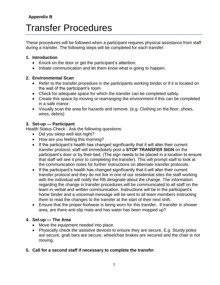# **Appendix B**

# Transfer Procedures

These procedures will be followed when a participant requires physical assistance from staff during a transfer. The following steps will be completed for each transfer:

#### **1. Introduction**

- Knock on the door or get the participant's attention.
- Initiate communication and let them know what is going to happen.

#### **2. Environmental Scan**

- Refer to the transfer procedure in the participants working binder or if it is located on the wall of the participant's room.
- Check for adequate space for which the transfer can be completed safely.
- Create this space by moving or rearranging the environment if this can be completed in a safe manor.
- Visually scan the area for hazards and remove. (e.g. Clothing on the floor, shoes, wires, debris)

## **3. Set-up — Participant**

Health Status Check - Ask the following questions:

- Did you sleep well last night?
- How are you feeling this morning?
- If the participant's health has changed significantly that it will alter their current transfer protocol, staff will immediately post a **STOP TRANSFER SIGN** on the participant's door or by their bed. (The sign needs to be placed in a location to ensure that staff will see it prior to completing the transfer). This will prompt staff to look at the communication notes for further instructions on alternate transfer protocols.
- If the participant's health has changed significantly that it will alter their current transfer protocol and they do not live in one of our residential sites the staff working with the individual will notify the RB designate about the change. The information regarding the change in transfer procedures will be communicated to all staff on the team in verbal and written communication. Instructions will be in the participant's home binder and a voicemail message will be sent to all team members instructing them to read the changes to the transfer at the start of their next shift.
- Ensure that the proper footwear is being worn for this transfer. If transfer in shower area, are there anti-slip mats and has water has been mopped up?

#### **4. Set-up — The Area**

- Move the equipment needed into place.
- Physically check the assistive devices to ensure they are secure. E.g. Sturdy poles are secure, grab bars are secure, wheelchair brakes are secured and the chair is not moving.
- **5. Call for a second staff if necessary to complete the transfer**.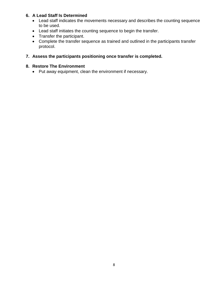## **6. A Lead Staff Is Determined**

- Lead staff indicates the movements necessary and describes the counting sequence to be used.
- Lead staff initiates the counting sequence to begin the transfer.
- Transfer the participant.
- Complete the transfer sequence as trained and outlined in the participants transfer protocol.
- **7. Assess the participants positioning once transfer is completed.**

### **8. Restore The Environment**

Put away equipment, clean the environment if necessary.